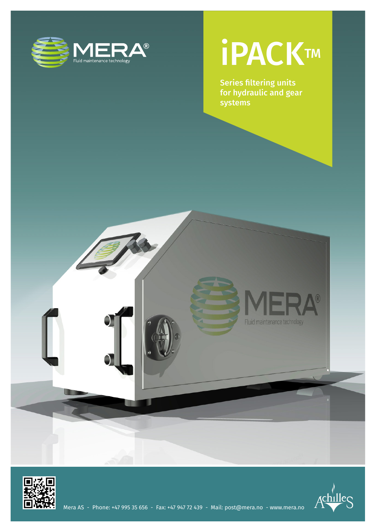

### **iPACKTM**

Series filtering units for hydraulic and gear systems





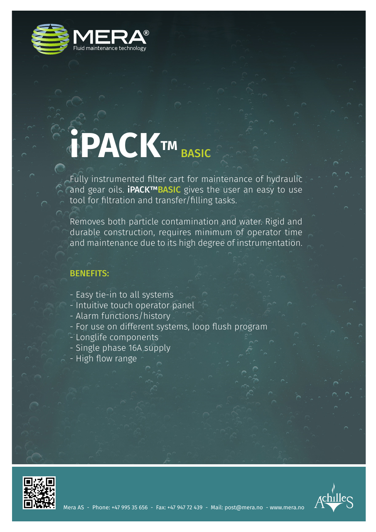

# **iPACKTM** BASIC

Fully instrumented filter cart for maintenance of hydraulic and gear oils. iPACK™BASIC gives the user an easy to use tool for filtration and transfer/filling tasks.

Removes both particle contamination and water. Rigid and durable construction, requires minimum of operator time and maintenance due to its high degree of instrumentation.

#### BENEFITS:

- Easy tie-in to all systems
- Intuitive touch operator panel
- Alarm functions/history
- For use on different systems, loop flush program
- Longlife components
- Single phase 16A supply
- High flow range



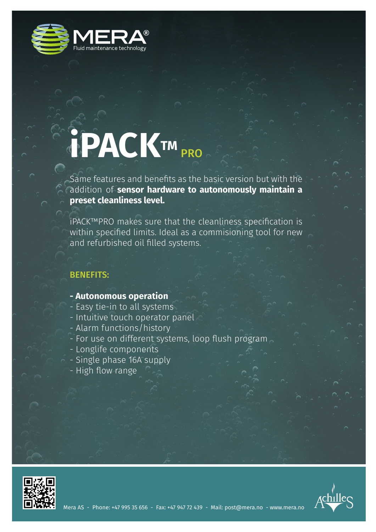

## **iPACKTM** PRO

Same features and benefits as the basic version but with the addition of **sensor hardware to autonomously maintain a preset cleanliness level.**

iPACK™PRO makes sure that the cleanliness specification is within specified limits. Ideal as a commisioning tool for new and refurbished oil filled systems.

#### BENEFITS:

- **Autonomous operation**
- Easy tie-in to all systems
- Intuitive touch operator panel
- Alarm functions/history
- For use on different systems, loop flush program
- Longlife components
- Single phase 16A supply
- High flow range



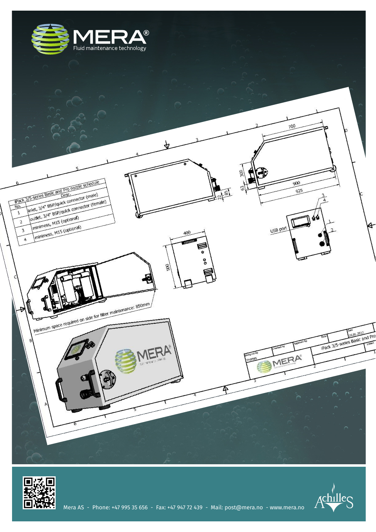